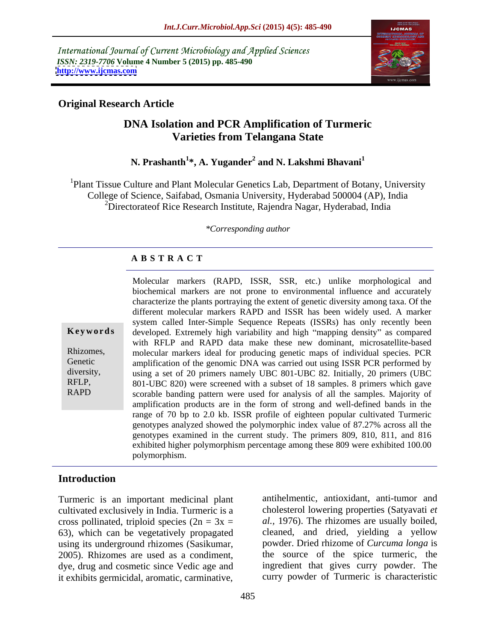International Journal of Current Microbiology and Applied Sciences *ISSN: 2319-7706* **Volume 4 Number 5 (2015) pp. 485-490 <http://www.ijcmas.com>**



## **Original Research Article**

## **DNA Isolation and PCR Amplification of Turmeric Varieties from Telangana State**

## **N. Prashanth<sup>1</sup> \*, A. Yugander<sup>2</sup> and N. Lakshmi Bhavani<sup>1</sup>**

1Plant Tissue Culture and Plant Molecular Genetics Lab, Department of Botany, University College of Science, Saifabad, Osmania University, Hyderabad 500004 (AP), India <sup>2</sup>Directorateof Rice Research Institute, Rajendra Nagar, Hyderabad, India

*\*Corresponding author*

#### **A B S T R A C T**

RAPD

Molecular markers (RAPD, ISSR, SSR, etc.) unlike morphological and biochemical markers are not prone to environmental influence and accurately characterize the plants portraying the extent of genetic diversity among taxa. Of the different molecular markers RAPD and ISSR has been widely used. A marker system called Inter-Simple Sequence Repeats (ISSRs) has only recently been developed. Extremely high variability and high "mapping density" as compared with RFLP and RAPD data make these new dominant, microsatellite-based Rhizomes, molecular markers ideal for producing genetic maps of individual species. PCR Genetic amplification of the genomic DNA was carried out using ISSR PCR performed by diversity, using a set of 20 primers namely UBC 801-UBC 82. Initially, 20 primers (UBC 801-UBC 820) were screened with a subset of 18 samples. 8 primers which gave RFLP, scorable banding pattern were used for analysis of all the samples. Majority of amplification products are in the form of strong and well-defined bands in the range of 70 bp to 2.0 kb. ISSR profile of eighteen popular cultivated Turmeric genotypes analyzed showed the polymorphicindex value of 87.27% across all the genotypes examined in the current study. The primers 809, 810, 811, and 816 exhibited higher polymorphism percentage among these 809 were exhibited 100.00 **Keywords** developed. Extremely high variability and high "mapping density" as compared with RFLP and RAPD data make these new dominant, microsatellite-based molecular markers ideal for producing genetic maps of individual

#### **Introduction**

Turmeric is an important medicinal plant cultivated exclusively in India. Turmeric is a cross pollinated, triploid species  $(2n = 3x =$ 63), which can be vegetatively propagated using its underground rhizomes (Sasikumar, 2005). Rhizomes are used as a condiment, dye, drug and cosmetic since Vedic age and it exhibits germicidal, aromatic, carminative,

antihelmentic, antioxidant, anti-tumor and cholesterol lowering properties (Satyavati *et al.,* 1976). The rhizomes are usually boiled, cleaned, and dried, yielding a yellow powder. Dried rhizome of *Curcuma longa* is the source of the spice turmeric, the ingredient that gives curry powder. The curry powder of Turmeric is characteristic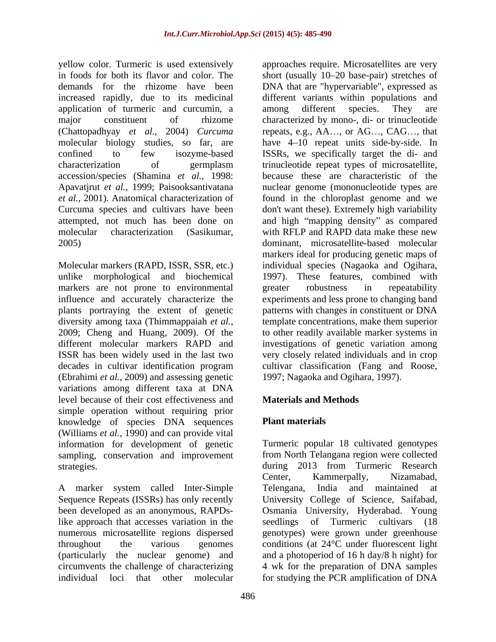application of turmeric and curcumin, a among different species. They are (Chattopadhyay *et al.,* 2004) *Curcuma* accession/species (Shamina *et al.,* 1998:

unlike morphological and biochemical markers are not prone to environmental greater robustness in repeatability influence and accurately characterize the (Ebrahimi *et al.,* 2009) and assessing genetic variations among different taxa at DNA level because of their cost effectiveness and simple operation without requiring prior knowledge of species DNA sequences Plant materials (Williams *et al.,* 1990) and can provide vital information for development of genetic sampling, conservation and improvement

A marker system called Inter-Simple Sequence Repeats (ISSRs) has only recently University College of Science, Saifabad, been developed as an anonymous, RAPDs-Osmania University, Hyderabad. Young like approach that accesses variation in the seedlings of Turmeric cultivars (18) numerous microsatellite regions dispersed genotypes) were grown under greenhouse throughout the various genomes conditions (at 24°C under fluorescent light (particularly the nuclear genome) and a photoperiod of 16 h day/8 h night) for circumvents the challenge of characterizing 4 wk for the preparation of DNA samples individual loci that other molecular for studying the PCR amplification of DNA

yellow color. Turmeric is used extensively approaches require. Microsatellites are very in foods for both its flavor and color. The short (usually 10–20 base-pair) stretches of demands for the rhizome have been DNA that are "hypervariable", expressed as increased rapidly, due to its medicinal different variants within populations and major constituent of rhizome characterized by mono-, di- or trinucleotide molecular biology studies, so far, are have 4 10 repeat units side-by-side. In confined to few isozyme-based ISSRs, we specifically target the di- and characterization of germplasm trinucleotide repeat types of microsatellite, Apavatjrut *et al.,* 1999; Paisooksantivatana nuclear genome (mononucleotide types are *et al.,* 2001). Anatomical characterization of found in the chloroplast genome and we Curcuma species and cultivars have been don't want these). Extremely high variability attempted, not much has been done on and high "mapping density" as compared molecular characterization (Sasikumar, with RFLP and RAPD data make these new 2005) dominant, microsatellite-based molecular Molecular markers (RAPD, ISSR, SSR, etc.) individual species (Nagaoka and Ogihara, plants portraying the extent of genetic patterns with changes in constituent or DNA diversity among taxa (Thimmappaiah *et al.,* template concentrations, make them superior 2009; Cheng and Huang, 2009). Of the to other readily availablemarker systems in different molecular markers RAPD and investigations of genetic variation among ISSR has been widely used in the last two very closely related individuals and in crop decades in cultivar identification program cultivar classification (Fang and Roose, among different species. They are repeats, e.g.,  $AA$ ..., or  $AG$ ...,  $CAG$ ..., that because these are characteristic of the markers ideal for producing genetic maps of 1997). These features, combined with greater robustness in repeatability experiments and less prone to changing band 1997; Nagaoka and Ogihara, 1997).

# **Materials and Methods**

# **Plant materials**

strategies. during 2013 from Turmeric Research<br>Center, Kammerpally, Nizamabad, Turmeric popular 18 cultivated genotypes from North Telangana region were collected during 2013 from Turmeric Research Center, Kammerpally, Nizamabad, Telengana, India and maintained seedlings of Turmeric cultivars (18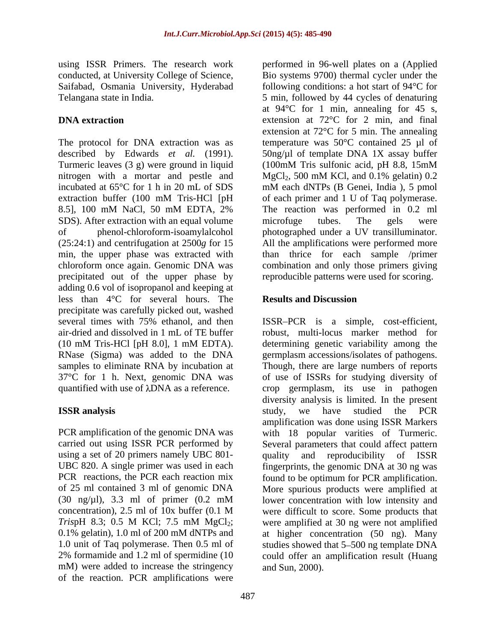using ISSR Primers. The research work Saifabad, Osmania University, Hyderabad

Turmeric leaves (3 g) were ground in liquid (100mM Tris sulfonic acid, pH 8.8, 15mM nitrogen with a mortar and pestle and MgCl<sub>2</sub>, 500 mM KCl, and 0.1% gelatin) 0.2 8.5], 100 mM NaCl, 50 mM EDTA, 2% SDS). After extraction with an equal volume microfuge tubes. The gels were precipitated out of the upper phase by adding 0.6 vol of isopropanol and keeping at less than 4°C for several hours. The precipitate was carefully picked out, washed several times with 75% ethanol, and then ISSR PCR is a simple, cost-efficient, air-dried and dissolved in 1 mL of TE buffer robust, multi-locus marker method for (10 mM Tris-HCl [pH 8.0], 1 mM EDTA). RNase (Sigma) was added to the DNA samples to eliminate RNA by incubation at Though, there are large numbers of reports 37°C for 1 h. Next, genomic DNA was of use of ISSRs for studying diversity of quantified with use of  $\lambda$ DNA as a reference. crop germplasm, its use in pathogen

mM) were added to increase the stringency of the reaction. PCR amplifications were

conducted, at University College of Science, Bio systems 9700) thermal cycler under the Telangana state in India. 5 min, followed by 44 cycles of denaturing **DNA extraction** extension at 72<sup>o</sup>C for 2 min, and final The protocol for DNA extraction was as temperature was  $50^{\circ}$ C contained 25 µl of described by Edwards *et al.* (1991). 50ng/µl of template DNA 1X assay buffer incubated at 65°C for 1 h in 20 mL of SDS mM each dNTPs (B Genei, India ), 5 pmol extraction buffer (100 mM Tris-HCl [pH of each primer and 1 U of Taq polymerase. of phenol-chloroform-isoamylalcohol photographed under a UV transilluminator. (25:24:1) and centrifugation at 2500*g* for 15 All the amplifications were performed more min, the upper phase was extracted with than thrice for each sample /primer chloroform once again. Genomic DNA was combination and only those primers giving performed in 96-well plates on a (Applied following conditions: a hot start of 94°C for at 94°C for 1 min, annealing for 45 s, extension at 72°C for 5 min. The annealing (100mM Trissulfonic acid, pH 8.8, 15mM  $MgCl<sub>2</sub>$ , 500 mM KCl, and 0.1% gelatin) 0.2 of each primer and 1 U of Taq polymerase. The reaction was performed in 0.2 ml microfuge tubes. The gels were reproducible patterns were used for scoring.

# **Results and Discussion**

ISSR analysis **ISSR** analysis **Example 2018** and the studied the PCR PCR amplification of the genomic DNA was with 18 popular varities of Turmeric. carried out using ISSR PCR performed by Several parameters that could affect pattern using a set of 20 primers namely UBC 801- quality and reproducibility of ISSR UBC 820. A single primer was used in each fingerprints, the genomic DNA at 30 ng was PCR reactions, the PCR each reaction mix found to be optimum for PCR amplification. of 25 ml contained 3 ml of genomic DNA More spurious products were amplified at (30 ng/µl), 3.3 ml of primer (0.2 mM lower concentration with low intensity and concentration), 2.5 ml of 10x buffer (0.1 M were difficult to score. Some products that *TrispH* 8.3; 0.5 M KCl; 7.5 mM MgCl<sub>2</sub>; were amplified at 30 ng were not amplified 0.1% gelatin), 1.0 ml of 200 mM dNTPs and at higher concentration (50 ng). Many 1.0 unit of Taq polymerase. Then 0.5 ml of studies showed that 5–500 ng template DNA 2% formamide and 1.2 ml of spermidine (10 could offer an amplification result (Huang determining genetic variability among the germplasm accessions/isolates of pathogens. diversity analysis is limited. In the present study, we have studied the PCR amplification was done using ISSR Markers and Sun, 2000).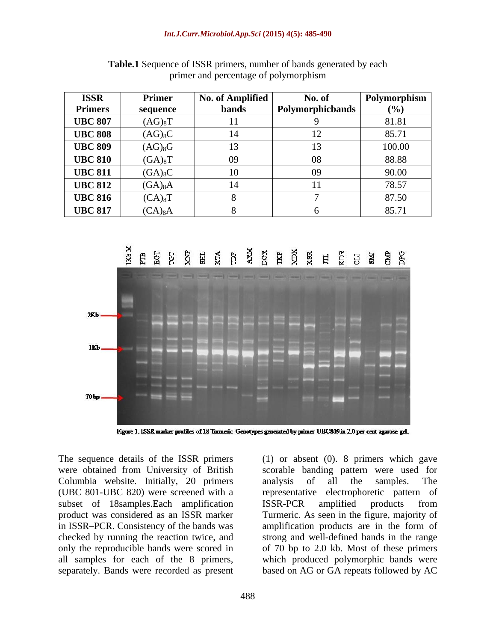| <b>ISSR</b>    | Primer                | No. of Amplified | No. of                  | Polymorphism |
|----------------|-----------------------|------------------|-------------------------|--------------|
| <b>Primers</b> | sequence              | bands            | <b>Polymorphicbands</b> | (%)          |
| <b>UBC 807</b> | $(AG)_{8}T$           |                  |                         | 81.81        |
| <b>UBC 808</b> | $(AG)_{8}C$           |                  |                         | 85.71        |
| <b>UBC 809</b> | $(AG)_{8}G$           |                  |                         | 100.00       |
| <b>UBC 810</b> | $(GA)_{8}T$           | 09               | 08                      | 88.88        |
| <b>UBC 811</b> | $(GA)_{8}C$           |                  | UY                      | 90.00        |
| <b>UBC 812</b> | $(GA)_{8}A$           |                  |                         | 78.57        |
| <b>UBC 816</b> | $(CA)_8$ <sup>T</sup> |                  |                         | 87.50        |
| <b>UBC 817</b> | $(CA)_{8}A$           |                  |                         | 85.71        |

**Table.1** Sequence of ISSR primers, number of bands generated by each primer and percentage of polymorphism



Figure 1. ISSR marker profiles of 18 Turmeric Genotypes generated by primer UBC809 in 2.0 per cent agarose gel.

The sequence details of the ISSR primers (1) or absent (0). 8 primers which gave Columbia website. Initially, 20 primers analysis of all the samples. The subset of 18samples.Each amplification ISSR-PCR amplified products from separately. Bands were recorded as present

were obtained from University of British scorable banding pattern were used for (UBC 801-UBC 820) were screened with a representative electrophoretic pattern of product was considered as an ISSR marker Turmeric. As seen in the figure, majority of in ISSR PCR. Consistency of the bands was amplification products are in the form of checked by running the reaction twice, and strong and well-defined bands in the range only the reproducible bands were scored in of 70 bp to 2.0 kb. Most of these primers all samples for each of the 8 primers, which produced polymorphic bands were analysis of all the samples. The ISSR-PCR amplified products from based on AG or GA repeats followed by AC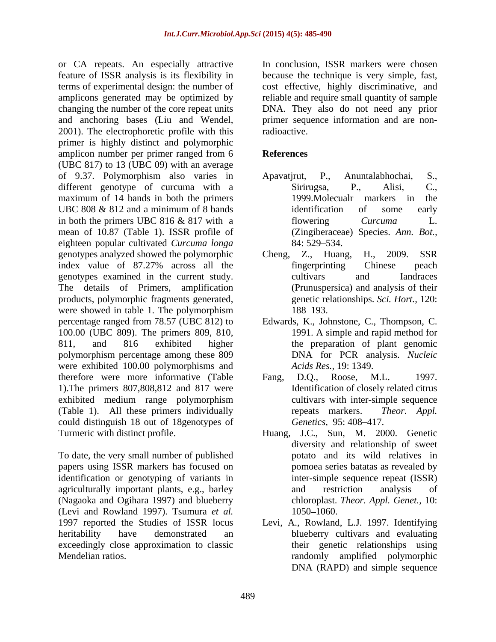or CA repeats. An especially attractive feature of ISSR analysis is its flexibility in because the technique is very simple, fast, terms of experimental design: the number of cost effective, highly discriminative, and amplicons generated may be optimized by reliable and require small quantity of sample changing the number of the core repeat units DNA. They also do not need any prior and anchoring bases (Liu and Wendel, 2001). The electrophoretic profile with this radioactive. primer is highly distinct and polymorphic amplicon number per primer ranged from 6 (UBC 817) to 13 (UBC 09) with an average of 9.37. Polymorphism also varies in different genotype of curcuma with a Sirirugsa, P., Alisi, C., maximum of 14 bands in both the primers 1999.Molecualr markers in the UBC 808 & 812 and a minimum of 8 bands identification of some early in both the primers UBC 816 & 817 with a flowering Curcuma L. mean of 10.87 (Table 1). ISSR profile of eighteen popular cultivated *Curcuma longa* genotypes analyzed showed the polymorphic Cheng, Z., Huang, H., 2009. SSR index value of 87.27% across all the fingerprinting Chinese peach genotypes examined in the current study. The details of Primers, amplification products, polymorphic fragments generated, were showed in table 1. The polymorphism 188–193. percentage ranged from 78.57 (UBC 812) to Edwards, K., Johnstone, C., Thompson, C. 100.00 (UBC 809). The primers 809, 810, 811, and 816 exhibited higher the preparation of plant genomic polymorphism percentage among these 809 were exhibited 100.00 polymorphisms and therefore were more informative (Table Fang, D.Q., Roose, M.L. 1997. 1).The primers 807,808,812 and 817 were exhibited medium range polymorphism (Table 1). All these primers individually repeats markers. *Theor. Appl.* could distinguish 18 out of 18genotypes of Genetics, 95:408-417.

To date, the very small number of published papers using ISSR markers has focused on identification or genotyping of variants in agriculturally important plants, e.g., barley (Nagaoka and Ogihara 1997) and blueberry (Levi and Rowland 1997). Tsumura *et al.* exceedingly close approximation to classic

In conclusion, ISSR markers were chosen primer sequence information and are nonradioactive.

### **References**

- Apavatjrut, P., Anuntalabhochai, S., Sirirugsa, P., Alisi, C., 1999.Molecualr markers in the identification of some early flowering *Curcuma* L. (Zingiberaceae) Species. *Ann. Bot.,* 84: 529–534.
- Cheng, Z., Huang, H., 2009. SSR fingerprinting Chinese peach cultivars and Iandraces (Prunuspersica) and analysis of their genetic relationships. *Sci. Hort.,* 120: 188–193.
- 1991. A simple and rapid method for DNA for PCR analysis. *Nucleic Acids Res.,* 19: 1349.
- Fang, D.Q., Roose, M.L. 1997. Identification of closely related citrus cultivars with inter-simple sequence repeats markers. *Theor. Appl. Genetics,* 95:408–417.
- Turmeric with distinct profile. Huang, J.C., Sun, M. 2000. Genetic diversity and relationship of sweet potato and its wild relatives in pomoea series batatas as revealed by inter-simple sequence repeat (ISSR) and restriction analysis of chloroplast. *Theor. Appl. Genet.,* 10: 1050–1060. https://www.partners.com/
- 1997 reported the Studies of ISSR locus Levi, A., Rowland, L.J. 1997. Identifying heritability have demonstrated an blueberry cultivars and evaluating Mendelian ratios. randomly amplified polymorphic their genetic relationships using DNA (RAPD) and simple sequence